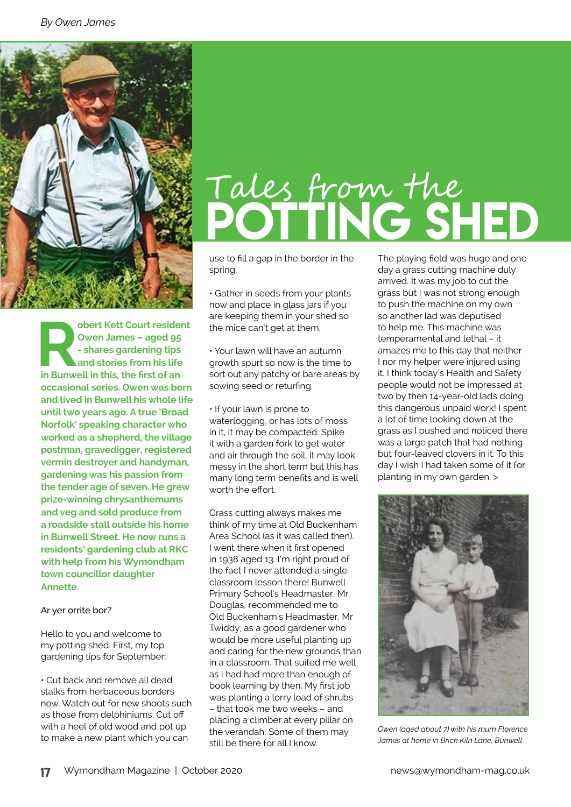

**bert Kett Court resident**<br>
Owen James – aged 95<br>
- shares gardening tips<br>
and stories from his life<br>
in Bunwell in this, the first of an **Owen James – aged 95 - shares gardening tips and stories from his life occasional series. Owen was born and lived in Bunwell his whole life until two years ago. A true 'Broad Norfolk' speaking character who worked as a shepherd, the village postman, gravedigger, registered vermin destroyer and handyman, gardening was his passion from the tender age of seven. He grew prize-winning chrysanthemums and veg and sold produce from a roadside stall outside his home in Bunwell Street. He now runs a residents' gardening club at RKC with help from his Wymondham town councillor daughter Annette.** 

#### Ar yer orrite bor?

Hello to you and welcome to my potting shed. First, my top gardening tips for September:

• Cut back and remove all dead stalks from herbaceous borders now. Watch out for new shoots such as those from delphiniums. Cut off with a heel of old wood and pot up to make a new plant which you can

# Tales from the POTTING SHED

use to fill a gap in the border in the spring.

• Gather in seeds from your plants now and place in glass jars if you are keeping them in your shed so the mice can't get at them.

• Your lawn will have an autumn growth spurt so now is the time to sort out any patchy or bare areas by sowing seed or returfing.

• If your lawn is prone to waterlogging, or has lots of moss in it, it may be compacted. Spike it with a garden fork to get water and air through the soil. It may look messy in the short term but this has many long term benefits and is well worth the effort.

Grass cutting always makes me think of my time at Old Buckenham Area School (as it was called then). I went there when it first opened in 1938 aged 13. I'm right proud of the fact I never attended a single classroom lesson there! Bunwell Primary School's Headmaster, Mr Douglas, recommended me to Old Buckenham's Headmaster, Mr Twiddy, as a good gardener who would be more useful planting up and caring for the new grounds than in a classroom. That suited me well as I had had more than enough of book learning by then. My first job was planting a lorry load of shrubs – that took me two weeks – and placing a climber at every pillar on the verandah. Some of them may still be there for all I know.

The playing field was huge and one day a grass cutting machine duly arrived. It was my job to cut the grass but I was not strong enough to push the machine on my own so another lad was deputised to help me. This machine was temperamental and lethal – it amazes me to this day that neither I nor my helper were injured using it. I think today's Health and Safety people would not be impressed at two by then 14-year-old lads doing this dangerous unpaid work! I spent a lot of time looking down at the grass as I pushed and noticed there was a large patch that had nothing but four-leaved clovers in it. To this day I wish I had taken some of it for planting in my own garden. >



*Owen (aged about 7) with his mum Florence James at home in Brick Kiln Lane, Bunwell*